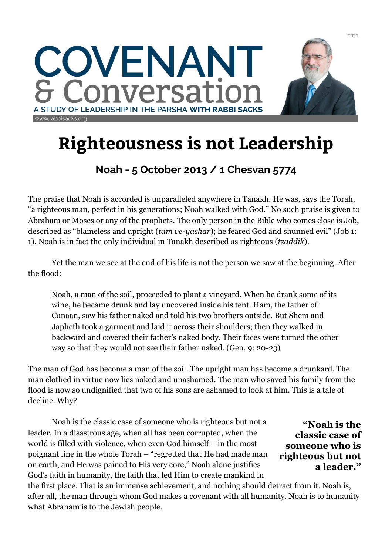

## **Righteousness is not Leadership**

## **Noah - 5 October 2013 / 1 Chesvan 5774**

The praise that Noah is accorded is unparalleled anywhere in Tanakh. He was, says the Torah, "a righteous man, perfect in his generations; Noah walked with God." No such praise is given to Abraham or Moses or any of the prophets. The only person in the Bible who comes close is Job, described as "blameless and upright (*tam ve-yashar*); he feared God and shunned evil" (Job 1: 1). Noah is in fact the only individual in Tanakh described as righteous (*tzaddik*).

 Yet the man we see at the end of his life is not the person we saw at the beginning. After the flood:

Noah, a man of the soil, proceeded to plant a vineyard. When he drank some of its wine, he became drunk and lay uncovered inside his tent. Ham, the father of Canaan, saw his father naked and told his two brothers outside. But Shem and Japheth took a garment and laid it across their shoulders; then they walked in backward and covered their father's naked body. Their faces were turned the other way so that they would not see their father naked. (Gen. 9: 20-23)

The man of God has become a man of the soil. The upright man has become a drunkard. The man clothed in virtue now lies naked and unashamed. The man who saved his family from the flood is now so undignified that two of his sons are ashamed to look at him. This is a tale of decline. Why?

 Noah is the classic case of someone who is righteous but not a leader. In a disastrous age, when all has been corrupted, when the world is filled with violence, when even God himself – in the most poignant line in the whole Torah – "regretted that He had made man on earth, and He was pained to His very core," Noah alone justifies God's faith in humanity, the faith that led Him to create mankind in

**"Noah is the classic case of someone who is righteous but not a leader."**

the first place. That is an immense achievement, and nothing should detract from it. Noah is, after all, the man through whom God makes a covenant with all humanity. Noah is to humanity what Abraham is to the Jewish people.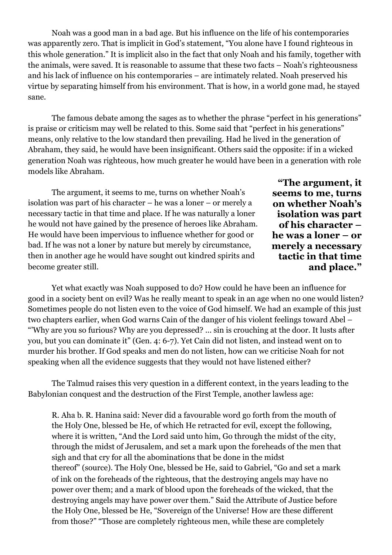Noah was a good man in a bad age. But his influence on the life of his contemporaries was apparently zero. That is implicit in God's statement, "You alone have I found righteous in this whole generation." It is implicit also in the fact that only Noah and his family, together with the animals, were saved. It is reasonable to assume that these two facts – Noah's righteousness and his lack of influence on his contemporaries – are intimately related. Noah preserved his virtue by separating himself from his environment. That is how, in a world gone mad, he stayed sane.

 The famous debate among the sages as to whether the phrase "perfect in his generations" is praise or criticism may well be related to this. Some said that "perfect in his generations" means, only relative to the low standard then prevailing. Had he lived in the generation of Abraham, they said, he would have been insignificant. Others said the opposite: if in a wicked generation Noah was righteous, how much greater he would have been in a generation with role models like Abraham.

 The argument, it seems to me, turns on whether Noah's isolation was part of his character – he was a loner – or merely a necessary tactic in that time and place. If he was naturally a loner he would not have gained by the presence of heroes like Abraham. He would have been impervious to influence whether for good or bad. If he was not a loner by nature but merely by circumstance, then in another age he would have sought out kindred spirits and become greater still.

**"The argument, it seems to me, turns on whether Noah's isolation was part of his character – he was a loner – or merely a necessary tactic in that time and place."**

 Yet what exactly was Noah supposed to do? How could he have been an influence for good in a society bent on evil? Was he really meant to speak in an age when no one would listen? Sometimes people do not listen even to the voice of God himself. We had an example of this just two chapters earlier, when God warns Cain of the danger of his violent feelings toward Abel – "'Why are you so furious? Why are you depressed? ... sin is crouching at the door. It lusts after you, but you can dominate it" (Gen. 4: 6-7). Yet Cain did not listen, and instead went on to murder his brother. If God speaks and men do not listen, how can we criticise Noah for not speaking when all the evidence suggests that they would not have listened either?

 The Talmud raises this very question in a different context, in the years leading to the Babylonian conquest and the destruction of the First Temple, another lawless age:

R. Aha b. R. Hanina said: Never did a favourable word go forth from the mouth of the Holy One, blessed be He, of which He retracted for evil, except the following, where it is written, "And the Lord said unto him, Go through the midst of the city, through the midst of Jerusalem, and set a mark upon the foreheads of the men that sigh and that cry for all the abominations that be done in the midst thereof" (source). The Holy One, blessed be He, said to Gabriel, "Go and set a mark of ink on the foreheads of the righteous, that the destroying angels may have no power over them; and a mark of blood upon the foreheads of the wicked, that the destroying angels may have power over them." Said the Attribute of Justice before the Holy One, blessed be He, "Sovereign of the Universe! How are these different from those?" "Those are completely righteous men, while these are completely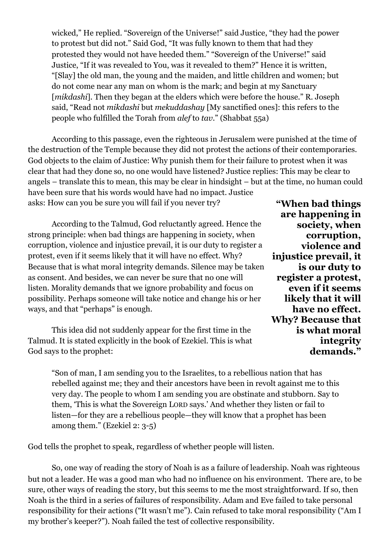wicked," He replied. "Sovereign of the Universe!" said Justice, "they had the power to protest but did not." Said God, "It was fully known to them that had they protested they would not have heeded them." "Sovereign of the Universe!" said Justice, "If it was revealed to You, was it revealed to them?" Hence it is written, "[Slay] the old man, the young and the maiden, and little children and women; but do not come near any man on whom is the mark; and begin at my Sanctuary [*mikdashi*]. Then they began at the elders which were before the house." R. Joseph said, "Read not *mikdashi* but *mekuddashay* [My sanctified ones]: this refers to the people who fulfilled the Torah from *alef* to *tav*." (Shabbat 55a)

According to this passage, even the righteous in Jerusalem were punished at the time of the destruction of the Temple because they did not protest the actions of their contemporaries. God objects to the claim of Justice: Why punish them for their failure to protest when it was clear that had they done so, no one would have listened? Justice replies: This may be clear to angels – translate this to mean, this may be clear in hindsight – but at the time, no human could have been sure that his words would have had no impact. Justice asks: How can you be sure you will fail if you never try?

 According to the Talmud, God reluctantly agreed. Hence the strong principle: when bad things are happening in society, when corruption, violence and injustice prevail, it is our duty to register a protest, even if it seems likely that it will have no effect. Why? Because that is what moral integrity demands. Silence may be taken as consent. And besides, we can never be sure that no one will listen. Morality demands that we ignore probability and focus on possibility. Perhaps someone will take notice and change his or her ways, and that "perhaps" is enough.

This idea did not suddenly appear for the first time in the Talmud. It is stated explicitly in the book of Ezekiel. This is what God says to the prophet:

**"When bad things are happening in society, when corruption, violence and injustice prevail, it is our duty to register a protest, even if it seems likely that it will have no effect. Why? Because that is what moral integrity demands."**

"Son of man, I am sending you to the Israelites, to a rebellious nation that has rebelled against me; they and their ancestors have been in revolt against me to this very day. The people to whom I am sending you are obstinate and stubborn. Say to them, 'This is what the Sovereign LORD says.' And whether they listen or fail to listen—for they are a rebellious people—they will know that a prophet has been among them." (Ezekiel 2: 3-5)

God tells the prophet to speak, regardless of whether people will listen.

 So, one way of reading the story of Noah is as a failure of leadership. Noah was righteous but not a leader. He was a good man who had no influence on his environment. There are, to be sure, other ways of reading the story, but this seems to me the most straightforward. If so, then Noah is the third in a series of failures of responsibility. Adam and Eve failed to take personal responsibility for their actions ("It wasn't me"). Cain refused to take moral responsibility ("Am I my brother's keeper?"). Noah failed the test of collective responsibility.